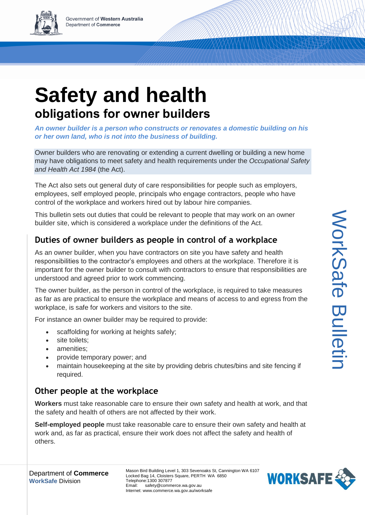

*An owner builder is a person who constructs or renovates a domestic building on his or her own land, who is not into the business of building.*

Owner builders who are renovating or extending a current dwelling or building a new home may have obligations to meet safety and health requirements under the *Occupational Safety and Health Act 1984* (the Act).

The Act also sets out general duty of care responsibilities for people such as employers, employees, self employed people, principals who engage contractors, people who have control of the workplace and workers hired out by labour hire companies.

This bulletin sets out duties that could be relevant to people that may work on an owner builder site, which is considered a workplace under the definitions of the Act.

## **Duties of owner builders as people in control of a workplace**

As an owner builder, when you have contractors on site you have safety and health responsibilities to the contractor's employees and others at the workplace. Therefore it is important for the owner builder to consult with contractors to ensure that responsibilities are understood and agreed prior to work commencing.

The owner builder, as the person in control of the workplace, is required to take measures as far as are practical to ensure the workplace and means of access to and egress from the workplace, is safe for workers and visitors to the site.

For instance an owner builder may be required to provide:

- scaffolding for working at heights safely;
- site toilets;
- amenities:
- provide temporary power; and
- maintain housekeeping at the site by providing debris chutes/bins and site fencing if required.

## **Other people at the workplace**

**Workers** must take reasonable care to ensure their own safety and health at work, and that the safety and health of others are not affected by their work.

**Self-employed people** must take reasonable care to ensure their own safety and health at work and, as far as practical, ensure their work does not affect the safety and health of others.